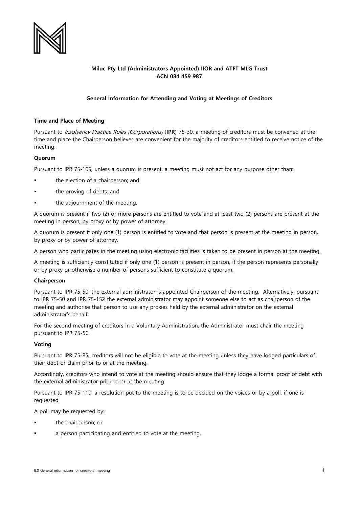

# **Miluc Pty Ltd (Administrators Appointed) IIOR and ATFT MLG Trust ACN 084 459 987**

# **General Information for Attending and Voting at Meetings of Creditors**

### **Time and Place of Meeting**

Pursuant to Insolvency Practice Rules (Corporations) (**IPR**) 75-30, a meeting of creditors must be convened at the time and place the Chairperson believes are convenient for the majority of creditors entitled to receive notice of the meeting.

#### **Quorum**

Pursuant to IPR 75-105, unless a quorum is present, a meeting must not act for any purpose other than:

- the election of a chairperson; and
- the proving of debts; and
- the adjournment of the meeting.

A quorum is present if two (2) or more persons are entitled to vote and at least two (2) persons are present at the meeting in person, by proxy or by power of attorney.

A quorum is present if only one (1) person is entitled to vote and that person is present at the meeting in person, by proxy or by power of attorney.

A person who participates in the meeting using electronic facilities is taken to be present in person at the meeting.

A meeting is sufficiently constituted if only one (1) person is present in person, if the person represents personally or by proxy or otherwise a number of persons sufficient to constitute a quorum.

## **Chairperson**

Pursuant to IPR 75-50, the external administrator is appointed Chairperson of the meeting. Alternatively, pursuant to IPR 75-50 and IPR 75-152 the external administrator may appoint someone else to act as chairperson of the meeting and authorise that person to use any proxies held by the external administrator on the external administrator's behalf.

For the second meeting of creditors in a Voluntary Administration, the Administrator must chair the meeting pursuant to IPR 75-50.

## **Voting**

Pursuant to IPR 75-85, creditors will not be eligible to vote at the meeting unless they have lodged particulars of their debt or claim prior to or at the meeting.

Accordingly, creditors who intend to vote at the meeting should ensure that they lodge a formal proof of debt with the external administrator prior to or at the meeting.

Pursuant to IPR 75-110, a resolution put to the meeting is to be decided on the voices or by a poll, if one is requested.

A poll may be requested by:

- the chairperson; or
- a person participating and entitled to vote at the meeting.